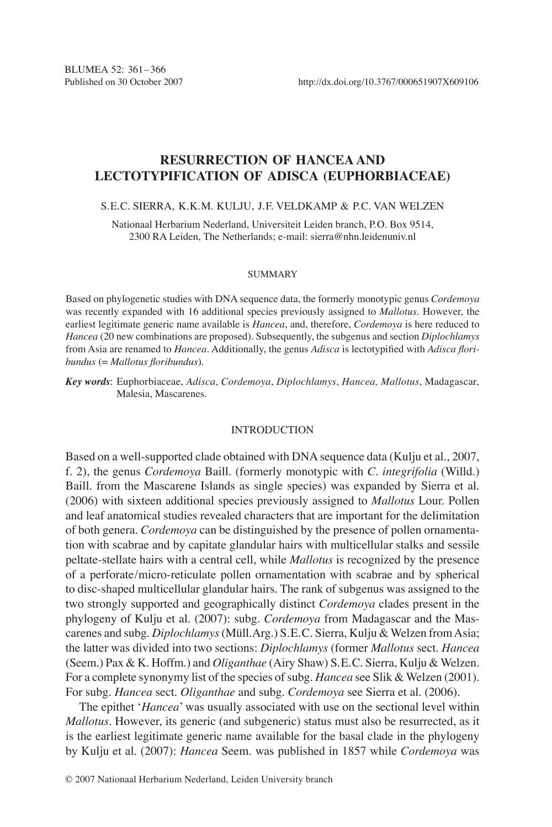# **RESURRECTION OF HANCEA and LECTOTYPIFICATION OF ADISCA (Euphorbiaceae)**

# S.E.C. SIERRA, K.K.M. KULJU, J.F. Veldkamp & P.C. VAN WELZEN

Nationaal Herbarium Nederland, Universiteit Leiden branch, P.O. Box 9514, 2300 RA Leiden, The Netherlands; e-mail: sierra@nhn.leidenuniv.nl

#### **SUMMARY**

Based on phylogenetic studies with DNA sequence data, the formerly monotypic genus *Cordemoya*  was recently expanded with 16 additional species previously assigned to *Mallotus*. However, the earliest legitimate generic name available is *Hancea*, and, therefore, *Cordemoya* is here reduced to *Hancea* (20 new combinations are proposed). Subsequently, the subgenus and section *Diplochlamys* from Asia are renamed to *Hancea*. Additionally, the genus *Adisca* is lectotypified with *Adisca floribundus* (= *Mallotus floribundus*).

*Key words*: Euphorbiaceae, *Adisca*, *Cordemoya*, *Diplochlamys*, *Hancea, Mallotus*, Madagascar, Malesia, Mascarenes.

### INTRODUCTION

Based on a well-supported clade obtained with DNA sequence data (Kulju et al., 2007, f. 2), the genus *Cordemoya* Baill. (formerly monotypic with *C. integrifolia* (Willd.) Baill. from the Mascarene Islands as single species) was expanded by Sierra et al. (2006) with sixteen additional species previously assigned to *Mallotus* Lour. Pollen and leaf anatomical studies revealed characters that are important for the delimitation of both genera. *Cordemoya* can be distinguished by the presence of pollen ornamentation with scabrae and by capitate glandular hairs with multicellular stalks and sessile peltate-stellate hairs with a central cell, while *Mallotus* is recognized by the presence of a perforate/micro-reticulate pollen ornamentation with scabrae and by spherical to disc-shaped multicellular glandular hairs. The rank of subgenus was assigned to the two strongly supported and geographically distinct *Cordemoya* clades present in the phylogeny of Kulju et al. (2007): subg. *Cordemoya* from Madagascar and the Mascarenes and subg. *Diplochlamys* (Müll.Arg.) S.E.C. Sierra, Kulju & Welzen from Asia; the latter was divided into two sections: *Diplochlamys* (former *Mallotus* sect. *Hancea*  (Seem.) Pax & K. Hoffm.) and *Oliganthae* (Airy Shaw) S.E.C. Sierra, Kulju & Welzen. For a complete synonymy list of the species of subg. *Hancea* see Slik & Welzen (2001). For subg. *Hancea* sect. *Oliganthae* and subg. *Cordemoya* see Sierra et al. (2006).

The epithet '*Hancea*' was usually associated with use on the sectional level within *Mallotus*. However, its generic (and subgeneric) status must also be resurrected, as it is the earliest legitimate generic name available for the basal clade in the phylogeny by Kulju et al. (2007): *Hancea* Seem. was published in 1857 while *Cordemoya* was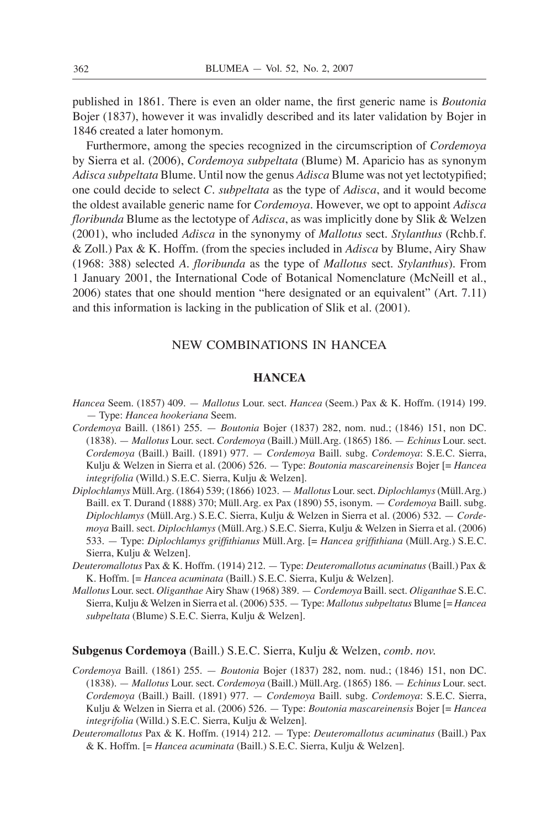published in 1861. There is even an older name, the first generic name is *Boutonia* Bojer (1837), however it was invalidly described and its later validation by Bojer in 1846 created a later homonym.

Furthermore, among the species recognized in the circumscription of *Cordemoya* by Sierra et al. (2006), *Cordemoya subpeltata* (Blume) M. Aparicio has as synonym *Adisca subpeltata* Blume. Until now the genus *Adisca* Blume was not yet lectotypified; one could decide to select *C. subpeltata* as the type of *Adisca*, and it would become the oldest available generic name for *Cordemoya*. However, we opt to appoint *Adisca floribunda* Blume as the lectotype of *Adisca*, as was implicitly done by Slik & Welzen (2001), who included *Adisca* in the synonymy of *Mallotus* sect. *Stylanthus* (Rchb.f. & Zoll.) Pax & K. Hoffm. (from the species included in *Adisca* by Blume, Airy Shaw (1968: 388) selected *A. floribunda* as the type of *Mallotus* sect. *Stylanthus*). From 1 January 2001, the International Code of Botanical Nomenclature (McNeill et al., 2006) states that one should mention "here designated or an equivalent" (Art. 7.11) and this information is lacking in the publication of Slik et al. (2001).

# NEW COMBINATIONS IN HANCEA

### **HANCEA**

- *Hancea* Seem. (1857) 409. *Mallotus* Lour. sect. *Hancea* (Seem.) Pax & K. Hoffm. (1914) 199. — Type: *Hancea hookeriana* Seem.
- *Cordemoya* Baill. (1861) 255. *Boutonia* Bojer (1837) 282, nom. nud.; (1846) 151, non DC. (1838). — *Mallotus* Lour. sect. *Cordemoya* (Baill.) Müll.Arg. (1865) 186. — *Echinus* Lour. sect. *Cordemoya* (Baill.) Baill. (1891) 977. — *Cordemoya* Baill. subg. *Cordemoya*: S.E.C. Sierra, Kulju & Welzen in Sierra et al. (2006) 526. — Type: *Boutonia mascareinensis* Bojer [= *Hancea integrifolia* (Willd.) S.E.C. Sierra, Kulju & Welzen].
- *Diplochlamys* Müll.Arg. (1864) 539; (1866) 1023. *Mallotus* Lour. sect. *Diplochlamys* (Müll.Arg.) Baill. ex T. Durand (1888) 370; Müll.Arg. ex Pax (1890) 55, isonym. — *Cordemoya* Baill. subg. *Diplochlamys* (Müll.Arg.) S.E.C. Sierra, Kulju & Welzen in Sierra et al. (2006) 532. — *Cordemoya* Baill. sect. *Diplochlamys* (Müll.Arg.) S.E.C. Sierra, Kulju & Welzen in Sierra et al. (2006) 533. — Type: *Diplochlamys griffithianus* Müll.Arg. [= *Hancea griffithiana* (Müll.Arg.) S.E.C. Sierra, Kulju & Welzen].
- *Deuteromallotus* Pax & K. Hoffm. (1914) 212. Type: *Deuteromallotus acuminatus* (Baill.) Pax & K. Hoffm. [= *Hancea acuminata* (Baill.) S.E.C. Sierra, Kulju & Welzen].
- *Mallotus* Lour. sect. *Oliganthae* Airy Shaw (1968) 389. *Cordemoya* Baill. sect. *Oliganthae* S.E.C. Sierra, Kulju & Welzen in Sierra et al. (2006) 535. — Type: *Mallotus subpeltatus* Blume [= *Hancea subpeltata* (Blume) S.E.C. Sierra, Kulju & Welzen].

### **Subgenus Cordemoya** (Baill.) S.E.C. Sierra, Kulju & Welzen, *comb. nov.*

- *Cordemoya* Baill. (1861) 255. *Boutonia* Bojer (1837) 282, nom. nud.; (1846) 151, non DC. (1838). — *Mallotus* Lour. sect. *Cordemoya* (Baill.) Müll.Arg. (1865) 186. — *Echinus* Lour. sect. *Cordemoya* (Baill.) Baill. (1891) 977. — *Cordemoya* Baill. subg. *Cordemoya*: S.E.C. Sierra, Kulju & Welzen in Sierra et al. (2006) 526. — Type: *Boutonia mascareinensis* Bojer [= *Hancea integrifolia* (Willd.) S.E.C. Sierra, Kulju & Welzen].
- *Deuteromallotus* Pax & K. Hoffm. (1914) 212. Type: *Deuteromallotus acuminatus* (Baill.) Pax & K. Hoffm. [= *Hancea acuminata* (Baill.) S.E.C. Sierra, Kulju & Welzen].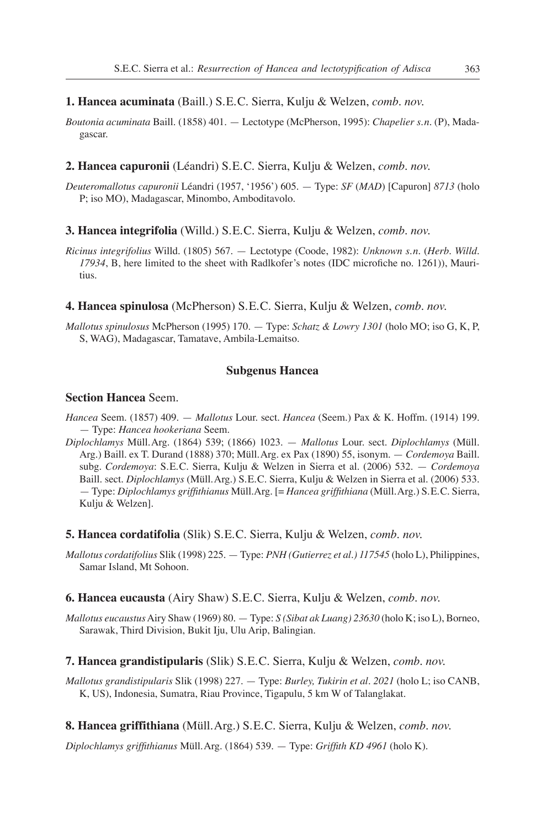### **1. Hancea acuminata** (Baill.) S.E.C. Sierra, Kulju & Welzen, *comb. nov.*

*Boutonia acuminata* Baill. (1858) 401. — Lectotype (McPherson, 1995): *Chapelier s.n*. (P), Madagascar.

# **2. Hancea capuronii** (Léandri) S.E.C. Sierra, Kulju & Welzen, *comb. nov.*

*Deuteromallotus capuronii* Léandri (1957, '1956') 605. — Type: *SF* (*MAD*) [Capuron] *8713* (holo P; iso MO), Madagascar, Minombo, Amboditavolo.

# **3. Hancea integrifolia** (Willd.) S.E.C. Sierra, Kulju & Welzen, *comb. nov.*

*Ricinus integrifolius* Willd. (1805) 567. — Lectotype (Coode, 1982): *Unknown s.n.* (*Herb. Willd. 17934*, B, here limited to the sheet with Radlkofer's notes (IDC microfiche no. 1261)), Mauritius.

#### **4. Hancea spinulosa** (McPherson) S.E.C. Sierra, Kulju & Welzen, *comb. nov.*

*Mallotus spinulosus* McPherson (1995) 170. — Type: *Schatz & Lowry 1301* (holo MO; iso G, K, P, S, WAG), Madagascar, Tamatave, Ambila-Lemaitso.

#### **Subgenus Hancea**

# **Section Hancea** Seem.

- *Hancea* Seem. (1857) 409. *Mallotus* Lour. sect. *Hancea* (Seem.) Pax & K. Hoffm. (1914) 199. — Type: *Hancea hookeriana* Seem.
- *Diplochlamys* Müll.Arg. (1864) 539; (1866) 1023. *Mallotus* Lour. sect. *Diplochlamys* (Müll. Arg.) Baill. ex T. Durand (1888) 370; Müll.Arg. ex Pax (1890) 55, isonym. — *Cordemoya* Baill. subg. *Cordemoya*: S.E.C. Sierra, Kulju & Welzen in Sierra et al. (2006) 532. — *Cordemoya* Baill. sect. *Diplochlamys* (Müll.Arg.) S.E.C. Sierra, Kulju & Welzen in Sierra et al. (2006) 533. — Type: *Diplochlamys griffithianus* Müll.Arg. [= *Hancea griffithiana* (Müll.Arg.) S.E.C. Sierra, Kulju & Welzen].
- **5. Hancea cordatifolia** (Slik) S.E.C. Sierra, Kulju & Welzen, *comb. nov.*
- *Mallotus cordatifolius* Slik (1998) 225. Type: *PNH (Gutierrez et al.) 117545* (holo L), Philippines, Samar Island, Mt Sohoon.

#### **6. Hancea eucausta** (Airy Shaw) S.E.C. Sierra, Kulju & Welzen, *comb. nov.*

*Mallotus eucaustus* Airy Shaw (1969) 80. — Type: *S (Sibat ak Luang) 23630* (holo K; iso L), Borneo, Sarawak, Third Division, Bukit Iju, Ulu Arip, Balingian.

#### **7. Hancea grandistipularis** (Slik) S.E.C. Sierra, Kulju & Welzen, *comb. nov.*

*Mallotus grandistipularis* Slik (1998) 227. — Type: *Burley, Tukirin et al. 2021* (holo L; iso CANB, K, US), Indonesia, Sumatra, Riau Province, Tigapulu, 5 km W of Talanglakat.

### **8. Hancea griffithiana** (Müll.Arg.) S.E.C. Sierra, Kulju & Welzen, *comb. nov.*

*Diplochlamys griffithianus* Müll.Arg. (1864) 539. — Type: *Griffith KD 4961* (holo K).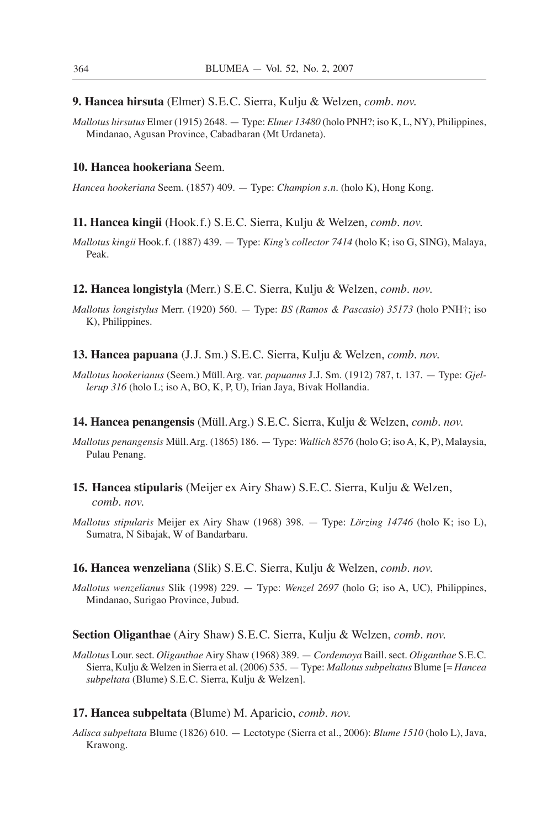**9. Hancea hirsuta** (Elmer) S.E.C. Sierra, Kulju & Welzen, *comb. nov.*

*Mallotus hirsutus* Elmer (1915) 2648. — Type: *Elmer 13480* (holo PNH?; iso K, L, NY), Philippines, Mindanao, Agusan Province, Cabadbaran (Mt Urdaneta).

# **10. Hancea hookeriana** Seem.

*Hancea hookeriana* Seem. (1857) 409. — Type: *Champion s.n*. (holo K), Hong Kong.

#### **11. Hancea kingii** (Hook.f.) S.E.C. Sierra, Kulju & Welzen, *comb. nov.*

*Mallotus kingii* Hook.f. (1887) 439. — Type: *King's collector 7414* (holo K; iso G, SING), Malaya, Peak.

#### **12. Hancea longistyla** (Merr.) S.E.C. Sierra, Kulju & Welzen, *comb. nov.*

- *Mallotus longistylus* Merr. (1920) 560. Type: *BS (Ramos & Pascasio*) *35173* (holo PNH†; iso K), Philippines.
- **13. Hancea papuana** (J.J. Sm.) S.E.C. Sierra, Kulju & Welzen, *comb. nov.*
- *Mallotus hookerianus* (Seem.) Müll.Arg. var. *papuanus* J.J. Sm. (1912) 787, t. 137. Type: *Gjellerup 316* (holo L; iso A, BO, K, P, U), Irian Jaya, Bivak Hollandia.

## **14. Hancea penangensis** (Müll.Arg.) S.E.C. Sierra, Kulju & Welzen, *comb. nov.*

- *Mallotus penangensis* Müll.Arg. (1865) 186. Type: *Wallich 8576* (holo G; iso A, K, P), Malaysia, Pulau Penang.
- **15. Hancea stipularis** (Meijer ex Airy Shaw) S.E.C. Sierra, Kulju & Welzen, *comb. nov.*
- *Mallotus stipularis* Meijer ex Airy Shaw (1968) 398. Type: *Lörzing 14746* (holo K; iso L), Sumatra, N Sibajak, W of Bandarbaru.

### **16. Hancea wenzeliana** (Slik) S.E.C. Sierra, Kulju & Welzen, *comb. nov.*

*Mallotus wenzelianus* Slik (1998) 229. — Type: *Wenzel 2697* (holo G; iso A, UC), Philippines, Mindanao, Surigao Province, Jubud.

# **Section Oliganthae** (Airy Shaw) S.E.C. Sierra, Kulju & Welzen, *comb. nov.*

*Mallotus* Lour. sect. *Oliganthae* Airy Shaw (1968) 389. — *Cordemoya* Baill. sect. *Oliganthae* S.E.C. Sierra, Kulju & Welzen in Sierra et al. (2006) 535. — Type: *Mallotus subpeltatus* Blume [= *Hancea subpeltata* (Blume) S.E.C. Sierra, Kulju & Welzen].

# **17. Hancea subpeltata** (Blume) M. Aparicio, *comb. nov.*

*Adisca subpeltata* Blume (1826) 610. — Lectotype (Sierra et al., 2006): *Blume 1510* (holo L), Java, Krawong.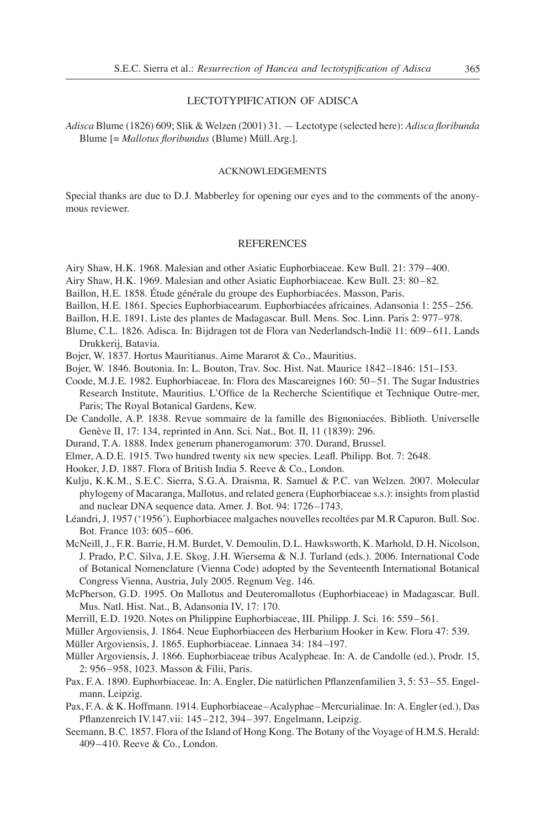### lectotypificAtion of adisca

*Adisca* Blume (1826) 609; Slik & Welzen (2001) 31. — Lectotype (selected here): *Adisca floribunda* Blume [= *Mallotus floribundus* (Blume) Müll.Arg.].

### ACKNOWLEDGEMENTS

Special thanks are due to D.J. Mabberley for opening our eyes and to the comments of the anonymous reviewer.

#### **REFERENCES**

- Airy Shaw, H.K. 1968. Malesian and other Asiatic Euphorbiaceae. Kew Bull. 21: 379–400.
- Airy Shaw, H.K. 1969. Malesian and other Asiatic Euphorbiaceae. Kew Bull. 23: 80–82.
- Baillon, H.E. 1858. Étude générale du groupe des Euphorbiacées. Masson, Paris.
- Baillon, H.E. 1861. Species Euphorbiacearum. Euphorbiacées africaines. Adansonia 1: 255–256.
- Baillon, H.E. 1891. Liste des plantes de Madagascar. Bull. Mens. Soc. Linn. Paris 2: 977–978.
- Blume, C.L. 1826. Adisca. In: Bijdragen tot de Flora van Nederlandsch-Indië 11: 609–611. Lands Drukkerij, Batavia.
- Bojer, W. 1837. Hortus Mauritianus. Aime Mararot & Co., Mauritius.
- Bojer, W. 1846. Boutonia. In: L. Bouton, Trav. Soc. Hist. Nat. Maurice 1842–1846: 151–153.
- Coode, M.J.E. 1982. Euphorbiaceae. In: Flora des Mascareignes 160: 50–51. The Sugar Industries Research Institute, Mauritius. L'Office de la Recherche Scientifique et Technique Outre-mer, Paris; The Royal Botanical Gardens, Kew.
- De Candolle, A.P. 1838. Revue sommaire de la famille des Bignoniacées. Biblioth. Universelle Genève II, 17: 134, reprinted in Ann. Sci. Nat., Bot. II, 11 (1839): 296.
- Durand, T.A. 1888. Index generum phanerogamorum: 370. Durand, Brussel.
- Elmer, A.D.E. 1915. Two hundred twenty six new species. Leafl. Philipp. Bot. 7: 2648.
- Hooker, J.D. 1887. Flora of British India 5. Reeve & Co., London.
- Kulju, K.K.M., S.E.C. Sierra, S.G.A. Draisma, R. Samuel & P.C. van Welzen. 2007. Molecular phylogeny of Macaranga, Mallotus, and related genera (Euphorbiaceae s.s.): insights from plastid and nuclear DNA sequence data. Amer. J. Bot. 94: 1726–1743.
- Léandri, J. 1957 ('1956'). Euphorbiacee malgaches nouvelles recoltées par M.R Capuron. Bull. Soc. Bot. France 103: 605–606.
- McNeill, J., F.R. Barrie, H.M. Burdet, V. Demoulin, D.L. Hawksworth, K. Marhold, D.H. Nicolson, J. Prado, P.C. Silva, J.E. Skog, J.H. Wiersema & N.J. Turland (eds.). 2006. International Code of Botanical Nomenclature (Vienna Code) adopted by the Seventeenth International Botanical Congress Vienna, Austria, July 2005. Regnum Veg. 146.
- McPherson, G.D. 1995. On Mallotus and Deuteromallotus (Euphorbiaceae) in Madagascar. Bull. Mus. Natl. Hist. Nat., B, Adansonia IV, 17: 170.
- Merrill, E.D. 1920. Notes on Philippine Euphorbiaceae, III. Philipp. J. Sci. 16: 559–561.
- Müller Argoviensis, J. 1864. Neue Euphorbiaceen des Herbarium Hooker in Kew. Flora 47: 539.
- Müller Argoviensis, J. 1865. Euphorbiaceae. Linnaea 34: 184–197.
- Müller Argoviensis, J. 1866. Euphorbiaceae tribus Acalypheae. In: A. de Candolle (ed.), Prodr. 15, 2: 956–958, 1023. Masson & Filii, Paris.
- Pax, F.A. 1890. Euphorbiaceae. In: A. Engler, Die natürlichen Pflanzenfamilien 3, 5: 53–55. Engelmann, Leipzig.
- Pax, F.A. & K. Hoffmann. 1914. Euphorbiaceae–Acalyphae–Mercurialinae. In: A. Engler (ed.), Das Pflanzenreich IV.147.vii: 145–212, 394–397. Engelmann, Leipzig.
- Seemann, B.C. 1857. Flora of the Island of Hong Kong. The Botany of the Voyage of H.M.S. Herald: 409–410. Reeve & Co., London.